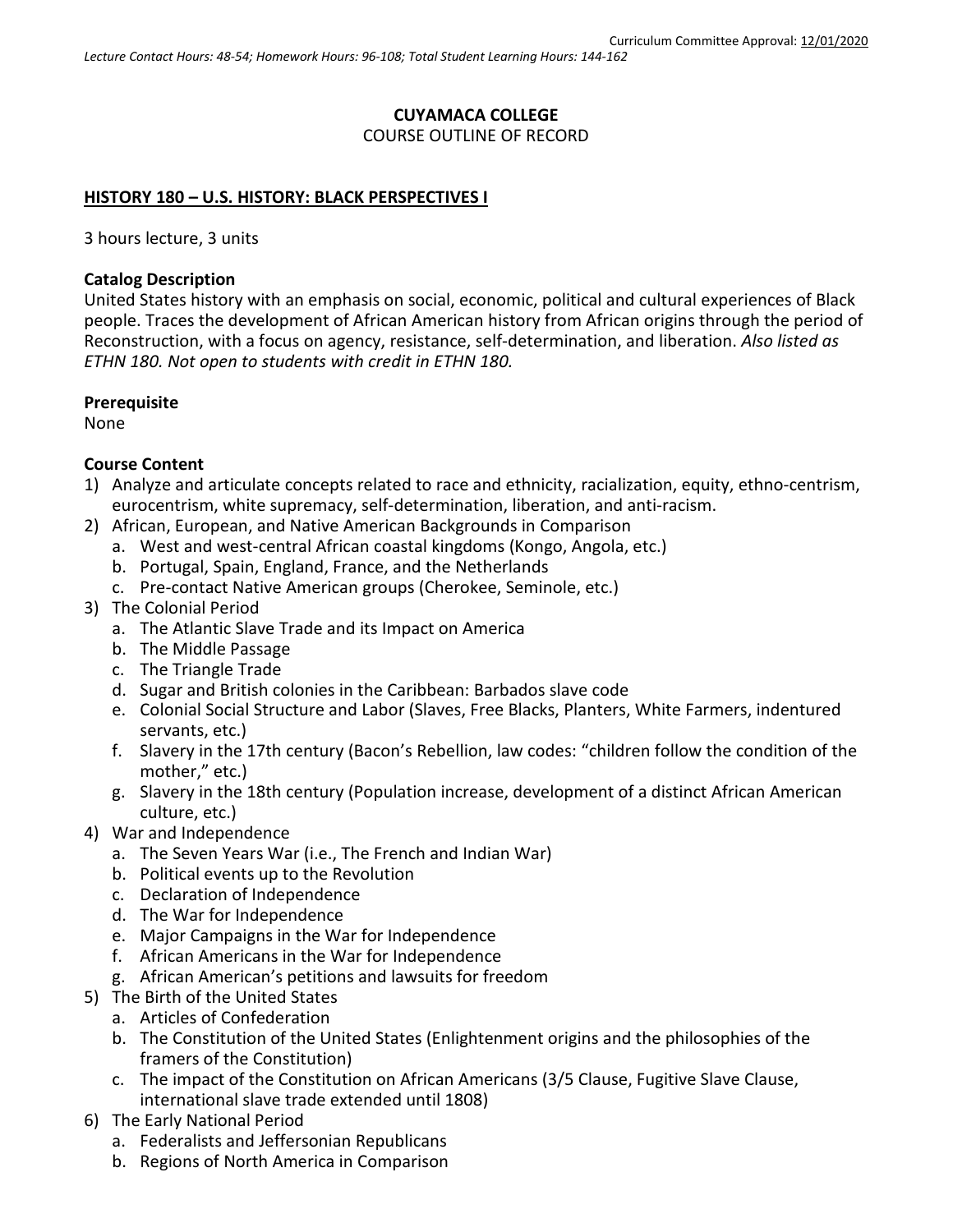# **CUYAMACA COLLEGE** COURSE OUTLINE OF RECORD

### **HISTORY 180 – U.S. HISTORY: BLACK PERSPECTIVES I**

3 hours lecture, 3 units

### **Catalog Description**

United States history with an emphasis on social, economic, political and cultural experiences of Black people. Traces the development of African American history from African origins through the period of Reconstruction, with a focus on agency, resistance, self-determination, and liberation. *Also listed as ETHN 180. Not open to students with credit in ETHN 180.*

#### **Prerequisite**

None

## **Course Content**

- 1) Analyze and articulate concepts related to race and ethnicity, racialization, equity, ethno-centrism, eurocentrism, white supremacy, self-determination, liberation, and anti-racism.
- 2) African, European, and Native American Backgrounds in Comparison
	- a. West and west-central African coastal kingdoms (Kongo, Angola, etc.)
	- b. Portugal, Spain, England, France, and the Netherlands
	- c. Pre-contact Native American groups (Cherokee, Seminole, etc.)
- 3) The Colonial Period
	- a. The Atlantic Slave Trade and its Impact on America
	- b. The Middle Passage
	- c. The Triangle Trade
	- d. Sugar and British colonies in the Caribbean: Barbados slave code
	- e. Colonial Social Structure and Labor (Slaves, Free Blacks, Planters, White Farmers, indentured servants, etc.)
	- f. Slavery in the 17th century (Bacon's Rebellion, law codes: "children follow the condition of the mother," etc.)
	- g. Slavery in the 18th century (Population increase, development of a distinct African American culture, etc.)
- 4) War and Independence
	- a. The Seven Years War (i.e., The French and Indian War)
	- b. Political events up to the Revolution
	- c. Declaration of Independence
	- d. The War for Independence
	- e. Major Campaigns in the War for Independence
	- f. African Americans in the War for Independence
	- g. African American's petitions and lawsuits for freedom
- 5) The Birth of the United States
	- a. Articles of Confederation
	- b. The Constitution of the United States (Enlightenment origins and the philosophies of the framers of the Constitution)
	- c. The impact of the Constitution on African Americans (3/5 Clause, Fugitive Slave Clause, international slave trade extended until 1808)
- 6) The Early National Period
	- a. Federalists and Jeffersonian Republicans
	- b. Regions of North America in Comparison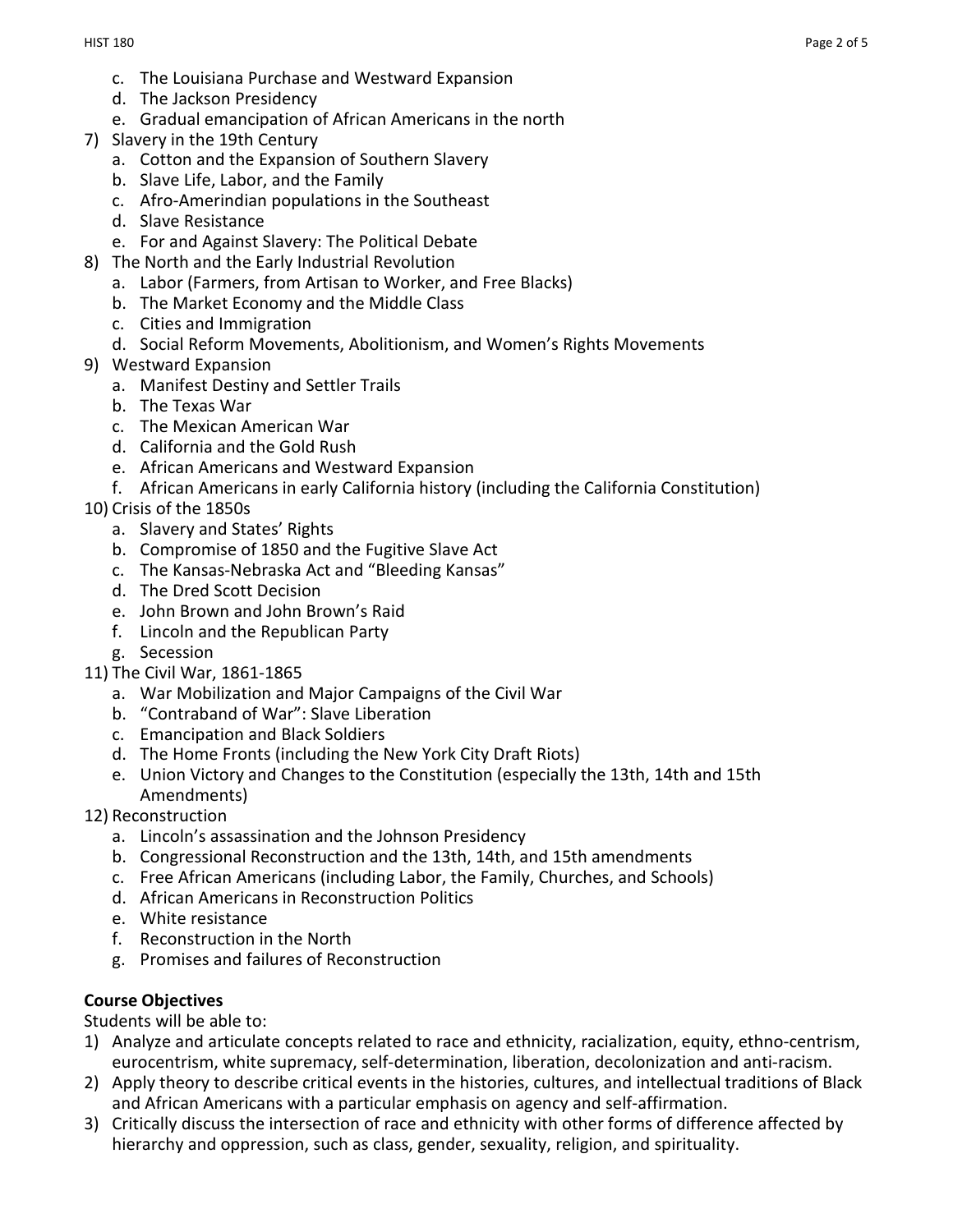- c. The Louisiana Purchase and Westward Expansion
- d. The Jackson Presidency
- e. Gradual emancipation of African Americans in the north
- 7) Slavery in the 19th Century
	- a. Cotton and the Expansion of Southern Slavery
	- b. Slave Life, Labor, and the Family
	- c. Afro-Amerindian populations in the Southeast
	- d. Slave Resistance
	- e. For and Against Slavery: The Political Debate
- 8) The North and the Early Industrial Revolution
	- a. Labor (Farmers, from Artisan to Worker, and Free Blacks)
	- b. The Market Economy and the Middle Class
	- c. Cities and Immigration
	- d. Social Reform Movements, Abolitionism, and Women's Rights Movements
- 9) Westward Expansion
	- a. Manifest Destiny and Settler Trails
	- b. The Texas War
	- c. The Mexican American War
	- d. California and the Gold Rush
	- e. African Americans and Westward Expansion
	- f. African Americans in early California history (including the California Constitution)
- 10) Crisis of the 1850s
	- a. Slavery and States' Rights
	- b. Compromise of 1850 and the Fugitive Slave Act
	- c. The Kansas-Nebraska Act and "Bleeding Kansas"
	- d. The Dred Scott Decision
	- e. John Brown and John Brown's Raid
	- f. Lincoln and the Republican Party
	- g. Secession
- 11) The Civil War, 1861-1865
	- a. War Mobilization and Major Campaigns of the Civil War
	- b. "Contraband of War": Slave Liberation
	- c. Emancipation and Black Soldiers
	- d. The Home Fronts (including the New York City Draft Riots)
	- e. Union Victory and Changes to the Constitution (especially the 13th, 14th and 15th Amendments)
- 12) Reconstruction
	- a. Lincoln's assassination and the Johnson Presidency
	- b. Congressional Reconstruction and the 13th, 14th, and 15th amendments
	- c. Free African Americans (including Labor, the Family, Churches, and Schools)
	- d. African Americans in Reconstruction Politics
	- e. White resistance
	- f. Reconstruction in the North
	- g. Promises and failures of Reconstruction

# **Course Objectives**

Students will be able to:

- 1) Analyze and articulate concepts related to race and ethnicity, racialization, equity, ethno-centrism, eurocentrism, white supremacy, self-determination, liberation, decolonization and anti-racism.
- 2) Apply theory to describe critical events in the histories, cultures, and intellectual traditions of Black and African Americans with a particular emphasis on agency and self-affirmation.
- 3) Critically discuss the intersection of race and ethnicity with other forms of difference affected by hierarchy and oppression, such as class, gender, sexuality, religion, and spirituality.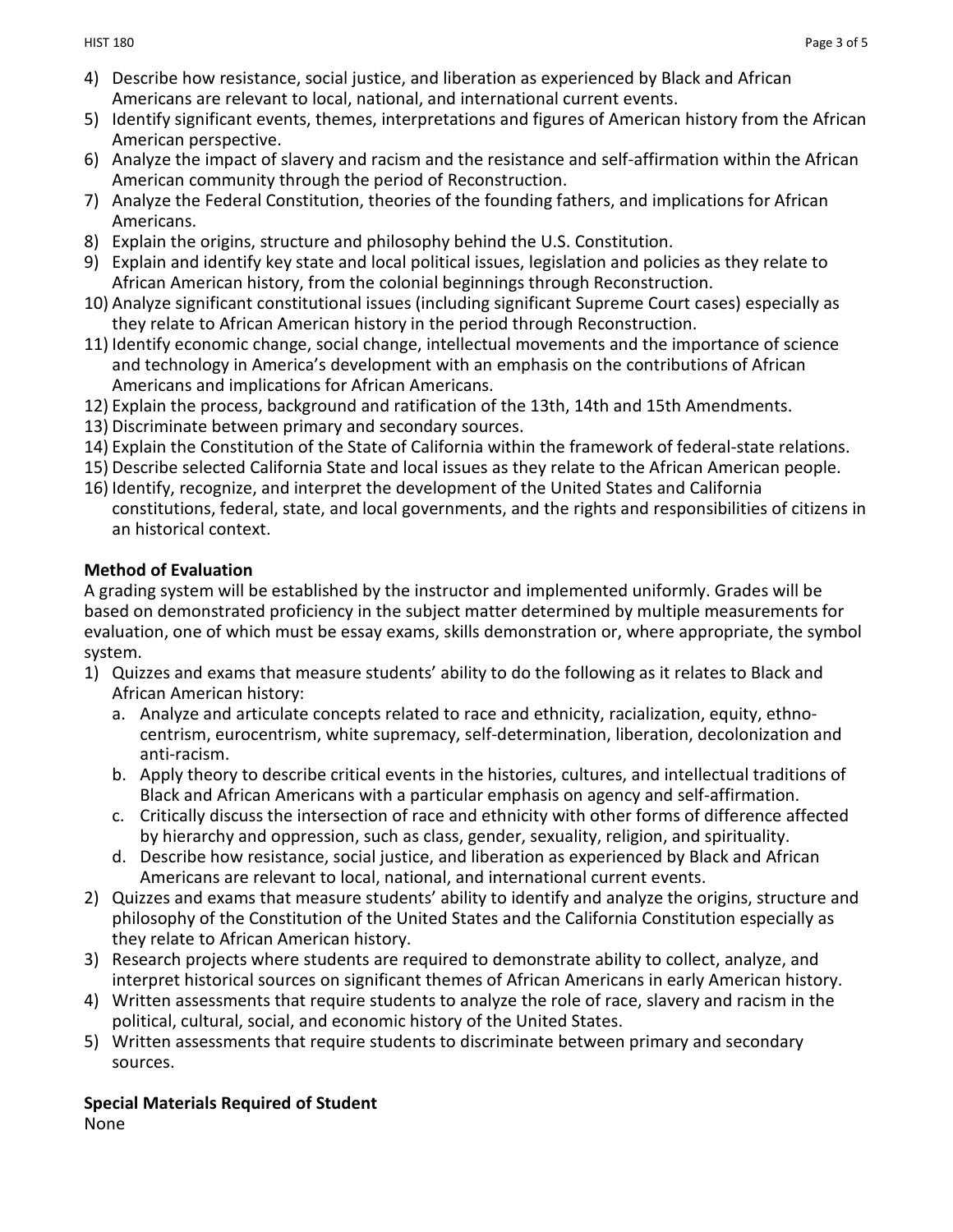- 4) Describe how resistance, social justice, and liberation as experienced by Black and African Americans are relevant to local, national, and international current events.
- 5) Identify significant events, themes, interpretations and figures of American history from the African American perspective.
- 6) Analyze the impact of slavery and racism and the resistance and self-affirmation within the African American community through the period of Reconstruction.
- 7) Analyze the Federal Constitution, theories of the founding fathers, and implications for African Americans.
- 8) Explain the origins, structure and philosophy behind the U.S. Constitution.
- 9) Explain and identify key state and local political issues, legislation and policies as they relate to African American history, from the colonial beginnings through Reconstruction.
- 10) Analyze significant constitutional issues (including significant Supreme Court cases) especially as they relate to African American history in the period through Reconstruction.
- 11) Identify economic change, social change, intellectual movements and the importance of science and technology in America's development with an emphasis on the contributions of African Americans and implications for African Americans.
- 12) Explain the process, background and ratification of the 13th, 14th and 15th Amendments.
- 13) Discriminate between primary and secondary sources.
- 14) Explain the Constitution of the State of California within the framework of federal-state relations.
- 15) Describe selected California State and local issues as they relate to the African American people.
- 16) Identify, recognize, and interpret the development of the United States and California constitutions, federal, state, and local governments, and the rights and responsibilities of citizens in an historical context.

# **Method of Evaluation**

A grading system will be established by the instructor and implemented uniformly. Grades will be based on demonstrated proficiency in the subject matter determined by multiple measurements for evaluation, one of which must be essay exams, skills demonstration or, where appropriate, the symbol system.

- 1) Quizzes and exams that measure students' ability to do the following as it relates to Black and African American history:
	- a. Analyze and articulate concepts related to race and ethnicity, racialization, equity, ethnocentrism, eurocentrism, white supremacy, self-determination, liberation, decolonization and anti-racism.
	- b. Apply theory to describe critical events in the histories, cultures, and intellectual traditions of Black and African Americans with a particular emphasis on agency and self-affirmation.
	- c. Critically discuss the intersection of race and ethnicity with other forms of difference affected by hierarchy and oppression, such as class, gender, sexuality, religion, and spirituality.
	- d. Describe how resistance, social justice, and liberation as experienced by Black and African Americans are relevant to local, national, and international current events.
- 2) Quizzes and exams that measure students' ability to identify and analyze the origins, structure and philosophy of the Constitution of the United States and the California Constitution especially as they relate to African American history.
- 3) Research projects where students are required to demonstrate ability to collect, analyze, and interpret historical sources on significant themes of African Americans in early American history.
- 4) Written assessments that require students to analyze the role of race, slavery and racism in the political, cultural, social, and economic history of the United States.
- 5) Written assessments that require students to discriminate between primary and secondary sources.

#### **Special Materials Required of Student** None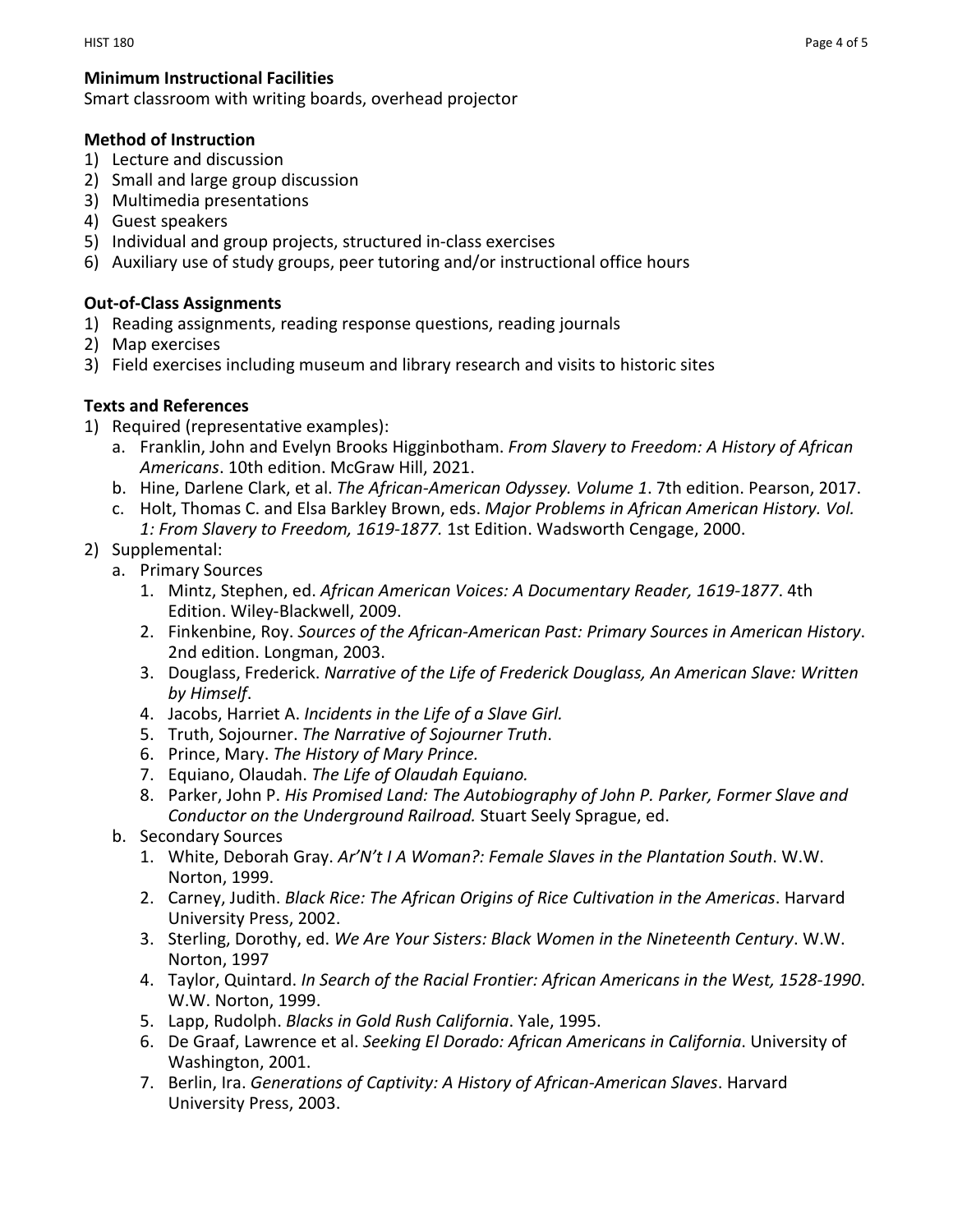Smart classroom with writing boards, overhead projector

## **Method of Instruction**

- 1) Lecture and discussion
- 2) Small and large group discussion
- 3) Multimedia presentations
- 4) Guest speakers
- 5) Individual and group projects, structured in-class exercises
- 6) Auxiliary use of study groups, peer tutoring and/or instructional office hours

## **Out-of-Class Assignments**

- 1) Reading assignments, reading response questions, reading journals
- 2) Map exercises
- 3) Field exercises including museum and library research and visits to historic sites

## **Texts and References**

- 1) Required (representative examples):
	- a. Franklin, John and Evelyn Brooks Higginbotham. *From Slavery to Freedom: A History of African Americans*. 10th edition. McGraw Hill, 2021.
	- b. Hine, Darlene Clark, et al. *The African-American Odyssey. Volume 1*. 7th edition. Pearson, 2017.
	- c. Holt, Thomas C. and Elsa Barkley Brown, eds. *Major Problems in African American History. Vol. 1: From Slavery to Freedom, 1619-1877.* 1st Edition. Wadsworth Cengage, 2000.
- 2) Supplemental:
	- a. Primary Sources
		- 1. Mintz, Stephen, ed. *African American Voices: A Documentary Reader, 1619-1877*. 4th Edition. Wiley-Blackwell, 2009.
		- 2. Finkenbine, Roy. *Sources of the African-American Past: Primary Sources in American History*. 2nd edition. Longman, 2003.
		- 3. Douglass, Frederick. *Narrative of the Life of Frederick Douglass, An American Slave: Written by Himself*.
		- 4. Jacobs, Harriet A. *Incidents in the Life of a Slave Girl.*
		- 5. Truth, Sojourner. *The Narrative of Sojourner Truth*.
		- 6. Prince, Mary. *The History of Mary Prince.*
		- 7. Equiano, Olaudah. *The Life of Olaudah Equiano.*
		- 8. Parker, John P. *His Promised Land: The Autobiography of John P. Parker, Former Slave and Conductor on the Underground Railroad.* Stuart Seely Sprague, ed.
	- b. Secondary Sources
		- 1. White, Deborah Gray. *Ar'N't I A Woman?: Female Slaves in the Plantation South*. W.W. Norton, 1999.
		- 2. Carney, Judith. *Black Rice: The African Origins of Rice Cultivation in the Americas*. Harvard University Press, 2002.
		- 3. Sterling, Dorothy, ed. *We Are Your Sisters: Black Women in the Nineteenth Century*. W.W. Norton, 1997
		- 4. Taylor, Quintard. *In Search of the Racial Frontier: African Americans in the West, 1528-1990*. W.W. Norton, 1999.
		- 5. Lapp, Rudolph. *Blacks in Gold Rush California*. Yale, 1995.
		- 6. De Graaf, Lawrence et al. *Seeking El Dorado: African Americans in California*. University of Washington, 2001.
		- 7. Berlin, Ira. *Generations of Captivity: A History of African-American Slaves*. Harvard University Press, 2003.